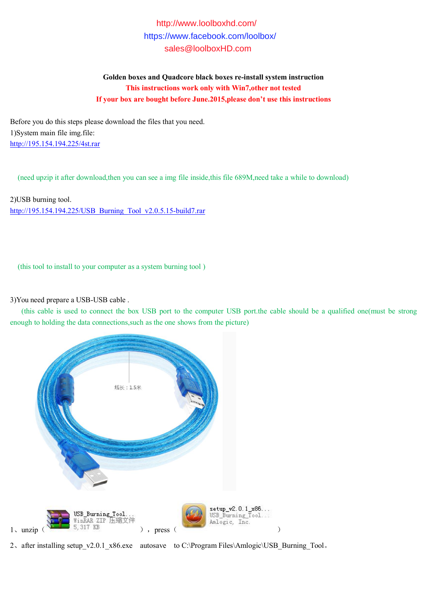## http://www.loolboxhd.com/ https://www.facebook.com/loolbox/ sales@loolboxHD.com

**Golden boxes and Quadcore black boxes re-install system instruction This instructions work only with Win7,other not tested If your box are bought before June.2015,please don't use this instructions**

Before you do this steps please download the files that you need. 1)System main file img.file: http://195.154.194.225/4st.rar

(need upzip it after download,then you can see a img file inside,this file 689M,need take a while to download)

2)USB burning tool. http://195.154.194.225/USB\_Burning\_Tool\_v2.0.5.15-build7.rar

(this tool to install to your computer as a system burning tool )

3)You need prepare a USB-USB cable .

(this cable is used to connect the box USB port to the computer USB port, the cable should be a qualified one(must be strong enough to holding the data connections,such as the one shows from the picture)



2、after installing setup\_v2.0.1\_x86.exe autosave to C:\Program Files\Amlogic\USB\_Burning\_Tool。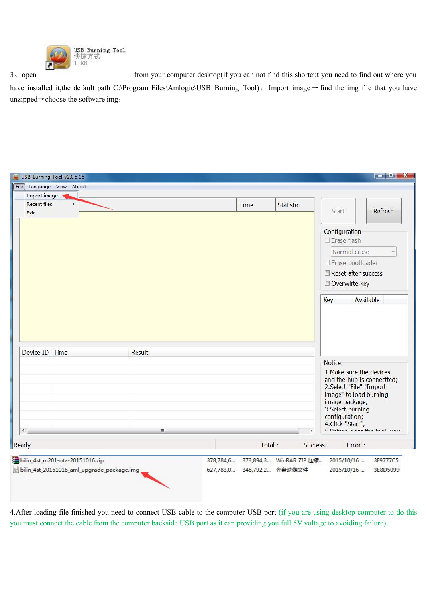

 $3\sqrt{2}$  open

from your computer desktop(if you can not find this shortcut you need to find out where you

have installed it, the default path C:\Program Files\Amlogic\USB\_Burning\_Tool), Import image → find the img file that you have unzipped $\rightarrow$ choose the software img.

| Import image         | File Language View About        |                    |                                   |                |                                                                                                                                 |                                                           |  |  |
|----------------------|---------------------------------|--------------------|-----------------------------------|----------------|---------------------------------------------------------------------------------------------------------------------------------|-----------------------------------------------------------|--|--|
| Recent files<br>Exit | ¥.                              |                    | Time                              | Statistic      | Start                                                                                                                           | <b>Refresh</b>                                            |  |  |
|                      |                                 |                    |                                   |                | Configuration<br>$\Box$ Erase flash                                                                                             |                                                           |  |  |
|                      |                                 |                    |                                   |                |                                                                                                                                 | Normal erase                                              |  |  |
|                      |                                 | □ Erase bootloader |                                   |                |                                                                                                                                 |                                                           |  |  |
|                      |                                 |                    |                                   |                | Reset after success<br>Overwirte key                                                                                            |                                                           |  |  |
| Device ID Time       |                                 | <b>Result</b>      |                                   |                | Key<br><b>Notice</b><br>1. Make sure the devices                                                                                | Available                                                 |  |  |
| $\leftarrow$         |                                 | $\mathbf{H}$       |                                   | $\mathfrak{b}$ | 2.Select "File"-"Import<br>image" to load burning<br>image package;<br>3. Select burning<br>configuration;<br>4. Click "Start"; | and the hub is connectted;<br>E Defers close the teal usu |  |  |
| Ready                |                                 |                    |                                   | Total:         | Success:<br>Error:                                                                                                              |                                                           |  |  |
|                      | bilin_4st_m201-ota-20151016.zip |                    | 378,784,6 373,894,3 WinRAR ZIP 压缩 |                | 2015/10/16                                                                                                                      | 3F9777C5                                                  |  |  |

4. After loading file finished you need to connect USB cable to the computer USB port (if you are using desktop computer to do this you must connect the cable from the computer backside USB port as it can providing you full 5V voltage to avoiding failure)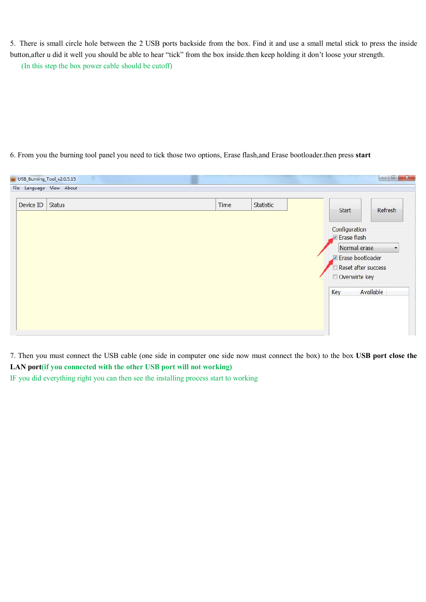5. There is small circle hole between the 2 USB ports backside from the box. Find it and use a small metal stick to press the inside button, after u did it well you should be able to hear "tick" from the box inside then keep holding it don't loose your strength.

(In this step the box power cable should be cutoff)

## 6. From you the burning tool panel you need to tick those two options, Erase flash, and Erase bootloader then press start

| File Language View About |      |           |     |                                                                          |
|--------------------------|------|-----------|-----|--------------------------------------------------------------------------|
| <b>Status</b>            | Time | Statistic |     | Refresh                                                                  |
|                          |      |           |     |                                                                          |
|                          |      |           |     | Normal erase<br>Erase bootloader<br>Reset after success<br>Overwirte key |
|                          |      |           | Key | Available                                                                |
|                          |      |           |     |                                                                          |
|                          |      |           |     | Start<br>Configuration<br>Erase flash                                    |

7. Then you must connect the USB cable (one side in computer one side now must connect the box) to the box USB port close the LAN port(if you connected with the other USB port will not working)

IF you did everything right you can then see the installing process start to working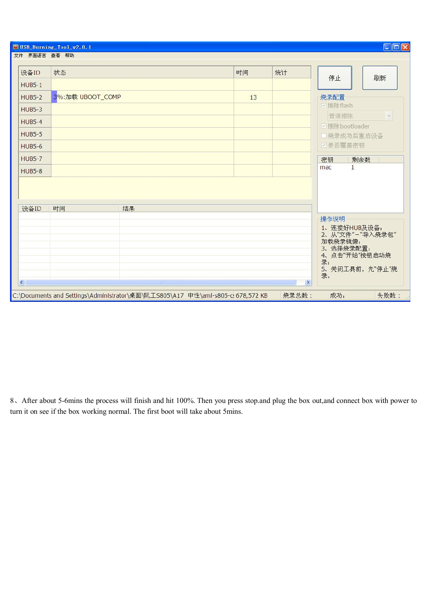| 设备ID          | 状态               |    | 时间 | 统计 |                                                                                        |
|---------------|------------------|----|----|----|----------------------------------------------------------------------------------------|
| $HUB5-1$      |                  |    |    |    | 刷新<br>停止                                                                               |
| <b>HUB5-2</b> | 3%:加载 UBOOT_COMP |    | 13 |    | 烧录配置                                                                                   |
| <b>HUB5-3</b> |                  |    |    |    | ☑擦除flash                                                                               |
| <b>HUB5-4</b> |                  |    |    |    | 普通擦除<br>$\mathcal{Q}$                                                                  |
| <b>HUB5-5</b> |                  |    |    |    | ■擦除bootloader                                                                          |
|               |                  |    |    |    | 口烧录成功后重启设备                                                                             |
| <b>HUB5-6</b> |                  |    |    |    | □是否覆盖密钥                                                                                |
| <b>HUB5-7</b> |                  |    |    |    | 密钥<br>剩余数                                                                              |
| <b>HUB5-8</b> |                  |    |    |    | $\mathbf{1}$<br>mac                                                                    |
| 设备ID          | 时间               | 结果 |    |    |                                                                                        |
|               |                  |    |    |    | 操作说明<br>1、连接好HUB及设备;<br>2、从"文件"-"导入烧录包"<br>加载烧录镜像;<br>3、选择烧录配置;<br>4、点击"开始"按钮启动烧<br>录; |

8. After about 5-6mins the process will finish and hit 100%. Then you press stop and plug the box out, and connect box with power to turn it on see if the box working normal. The first boot will take about 5mins.